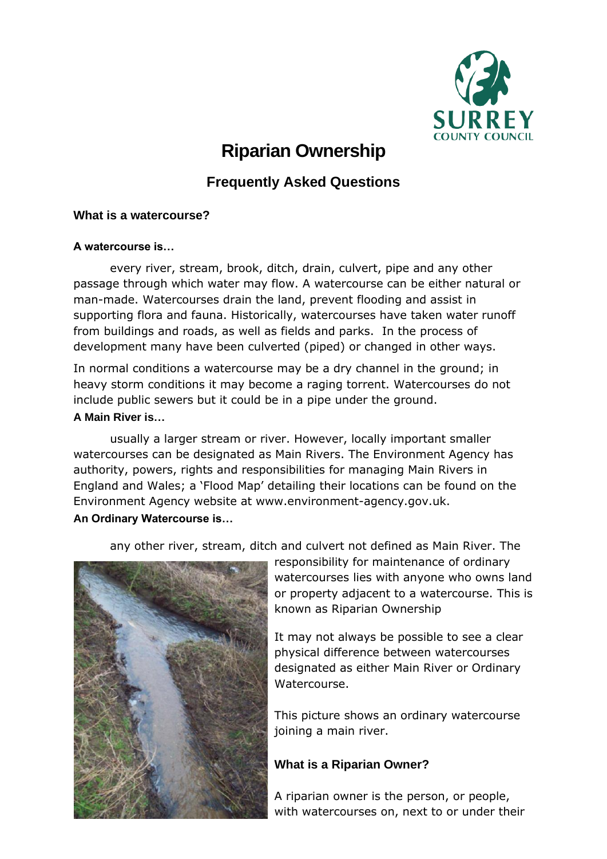

# **Riparian Ownership**

# **Frequently Asked Questions**

## **What is a watercourse?**

#### **A watercourse is…**

every river, stream, brook, ditch, drain, culvert, pipe and any other passage through which water may flow. A watercourse can be either natural or man-made. Watercourses drain the land, prevent flooding and assist in supporting flora and fauna. Historically, watercourses have taken water runoff from buildings and roads, as well as fields and parks. In the process of development many have been culverted (piped) or changed in other ways.

In normal conditions a watercourse may be a dry channel in the ground; in heavy storm conditions it may become a raging torrent. Watercourses do not include public sewers but it could be in a pipe under the ground.

#### **A Main River is…**

usually a larger stream or river. However, locally important smaller watercourses can be designated as Main Rivers. The Environment Agency has authority, powers, rights and responsibilities for managing Main Rivers in England and Wales; a 'Flood Map' detailing their locations can be found on the Environment Agency website at [www.environment-agency.gov.uk.](http://www.environment-agency.gov.uk/) **An Ordinary Watercourse is…** 

any other river, stream, ditch and culvert not defined as Main River. The



responsibility for maintenance of ordinary watercourses lies with anyone who owns land or property adjacent to a watercourse. This is known as Riparian Ownership

It may not always be possible to see a clear physical difference between watercourses designated as either Main River or Ordinary Watercourse.

This picture shows an ordinary watercourse joining a main river.

# **What is a Riparian Owner?**

A riparian owner is the person, or people, with watercourses on, next to or under their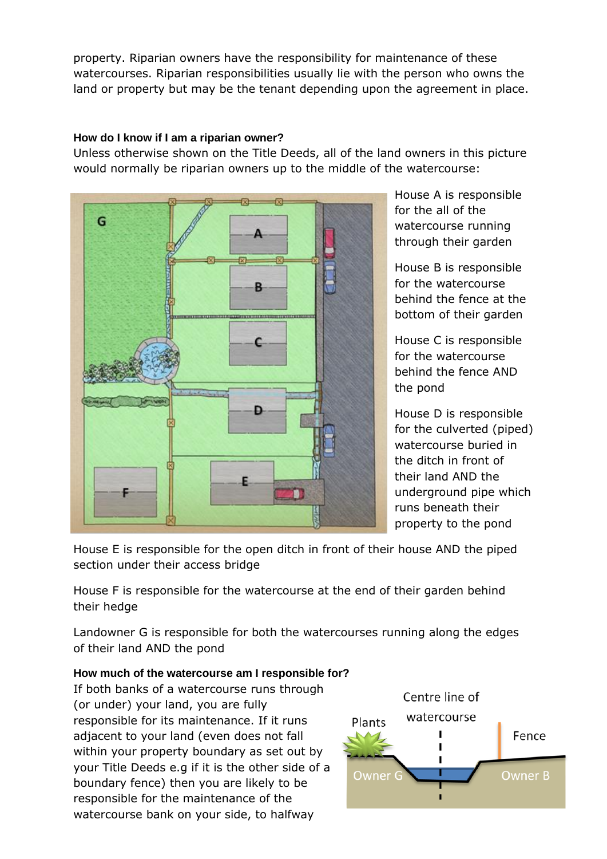property. Riparian owners have the responsibility for maintenance of these watercourses. Riparian responsibilities usually lie with the person who owns the land or property but may be the tenant depending upon the agreement in place.

### **How do I know if I am a riparian owner?**

Unless otherwise shown on the Title Deeds, all of the land owners in this picture would normally be riparian owners up to the middle of the watercourse:



House A is responsible for the all of the watercourse running through their garden

House B is responsible for the watercourse behind the fence at the bottom of their garden

House C is responsible for the watercourse behind the fence AND the pond

House D is responsible for the culverted (piped) watercourse buried in the ditch in front of their land AND the underground pipe which runs beneath their property to the pond

House E is responsible for the open ditch in front of their house AND the piped section under their access bridge

House F is responsible for the watercourse at the end of their garden behind their hedge

Landowner G is responsible for both the watercourses running along the edges of their land AND the pond

# **How much of the watercourse am I responsible for?**

If both banks of a watercourse runs through (or under) your land, you are fully responsible for its maintenance. If it runs adjacent to your land (even does not fall within your property boundary as set out by your Title Deeds e.g if it is the other side of a boundary fence) then you are likely to be responsible for the maintenance of the watercourse bank on your side, to halfway

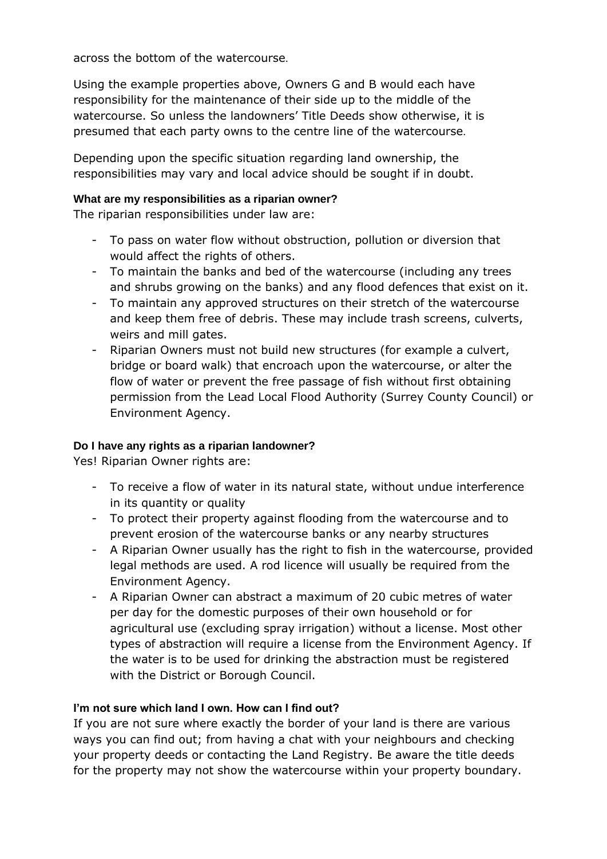across the bottom of the watercourse.

Using the example properties above, Owners G and B would each have responsibility for the maintenance of their side up to the middle of the watercourse. So unless the landowners' Title Deeds show otherwise, it is presumed that each party owns to the centre line of the watercourse.

Depending upon the specific situation regarding land ownership, the responsibilities may vary and local advice should be sought if in doubt.

#### **What are my responsibilities as a riparian owner?**

The riparian responsibilities under law are:

- To pass on water flow without obstruction, pollution or diversion that would affect the rights of others.
- To maintain the banks and bed of the watercourse (including any trees and shrubs growing on the banks) and any flood defences that exist on it.
- To maintain any approved structures on their stretch of the watercourse and keep them free of debris. These may include trash screens, culverts, weirs and mill gates.
- Riparian Owners must not build new structures (for example a culvert, bridge or board walk) that encroach upon the watercourse, or alter the flow of water or prevent the free passage of fish without first obtaining permission from the Lead Local Flood Authority (Surrey County Council) or Environment Agency.

#### **Do I have any rights as a riparian landowner?**

Yes! Riparian Owner rights are:

- To receive a flow of water in its natural state, without undue interference in its quantity or quality
- To protect their property against flooding from the watercourse and to prevent erosion of the watercourse banks or any nearby structures
- A Riparian Owner usually has the right to fish in the watercourse, provided legal methods are used. A rod licence will usually be required from the Environment Agency.
- A Riparian Owner can abstract a maximum of 20 cubic metres of water per day for the domestic purposes of their own household or for agricultural use (excluding spray irrigation) without a license. Most other types of abstraction will require a license from the Environment Agency. If the water is to be used for drinking the abstraction must be registered with the District or Borough Council.

#### **I'm not sure which land I own. How can I find out?**

If you are not sure where exactly the border of your land is there are various ways you can find out; from having a chat with your neighbours and checking your property deeds or contacting the Land Registry. Be aware the title deeds for the property may not show the watercourse within your property boundary.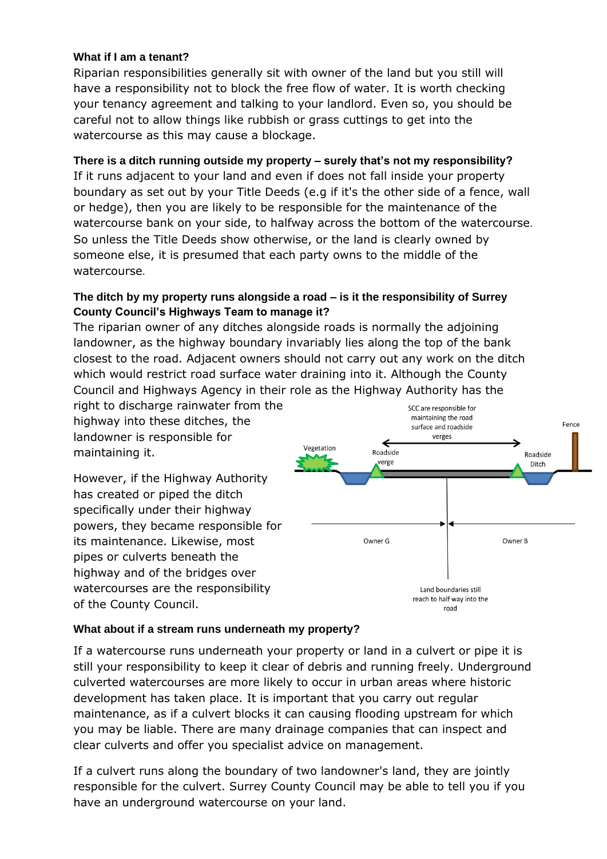#### **What if I am a tenant?**

Riparian responsibilities generally sit with owner of the land but you still will have a responsibility not to block the free flow of water. It is worth checking your tenancy agreement and talking to your landlord. Even so, you should be careful not to allow things like rubbish or grass cuttings to get into the watercourse as this may cause a blockage.

#### **There is a ditch running outside my property – surely that's not my responsibility?**

If it runs adjacent to your land and even if does not fall inside your property boundary as set out by your Title Deeds (e.g if it's the other side of a fence, wall or hedge), then you are likely to be responsible for the maintenance of the watercourse bank on your side, to halfway across the bottom of the watercourse. So unless the Title Deeds show otherwise, or the land is clearly owned by someone else, it is presumed that each party owns to the middle of the watercourse.

#### **The ditch by my property runs alongside a road – is it the responsibility of Surrey County Council's Highways Team to manage it?**

The riparian owner of any ditches alongside roads is normally the adjoining landowner, as the highway boundary invariably lies along the top of the bank closest to the road. Adjacent owners should not carry out any work on the ditch which would restrict road surface water draining into it. Although the County Council and Highways Agency in their role as the Highway Authority has the

right to discharge rainwater from the highway into these ditches, the landowner is responsible for maintaining it.

However, if the Highway Authority has created or piped the ditch specifically under their highway powers, they became responsible for its maintenance. Likewise, most pipes or culverts beneath the highway and of the bridges over watercourses are the responsibility of the County Council.



#### **What about if a stream runs underneath my property?**

If a watercourse runs underneath your property or land in a culvert or pipe it is still your responsibility to keep it clear of debris and running freely. Underground culverted watercourses are more likely to occur in urban areas where historic development has taken place. It is important that you carry out regular maintenance, as if a culvert blocks it can causing flooding upstream for which you may be liable. There are many drainage companies that can inspect and clear culverts and offer you specialist advice on management.

If a culvert runs along the boundary of two landowner's land, they are jointly responsible for the culvert. Surrey County Council may be able to tell you if you have an underground watercourse on your land.